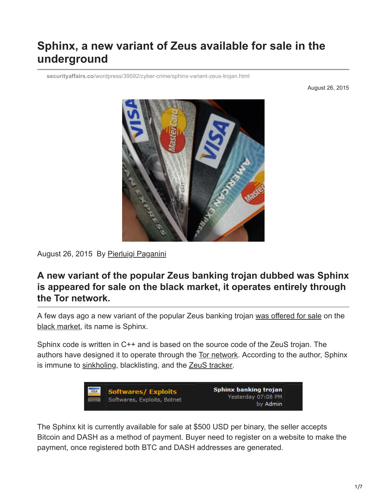# **Sphinx, a new variant of Zeus available for sale in the underground**

**securityaffairs.co**[/wordpress/39592/cyber-crime/sphinx-variant-zeus-trojan.html](https://securityaffairs.co/wordpress/39592/cyber-crime/sphinx-variant-zeus-trojan.html)

August 26, 2015



August 26, 2015 By [Pierluigi Paganini](https://securityaffairs.co/wordpress/author/paganinip)

# **A new variant of the popular Zeus banking trojan dubbed was Sphinx is appeared for sale on the black market, it operates entirely through the Tor network.**

A few days ago a new variant of the popular Zeus banking trojan [was offered for sale](https://crimenetwork.biz/index.php?/topic/159726-sphinx-banking-trojan/) on the [black market](http://securityaffairs.co/wordpress/37625/cyber-crime/hackers-black-market.html), its name is Sphinx.

Sphinx code is written in C++ and is based on the source code of the ZeuS trojan. The authors have designed it to operate through the [Tor network](http://securityaffairs.co/wordpress/22861/cyber-crime/tor-network-increasingly-attractive-cybercrime.html). According to the author, Sphinx is immune to [sinkholing,](http://resources.infosecinstitute.com/sinkholes-legal-technical-issues-fight-botnets/) blacklisting, and the [ZeuS tracker.](https://zeustracker.abuse.ch/)



The Sphinx kit is currently available for sale at \$500 USD per binary, the seller accepts Bitcoin and DASH as a method of payment. Buyer need to register on a website to make the payment, once registered both BTC and DASH addresses are generated.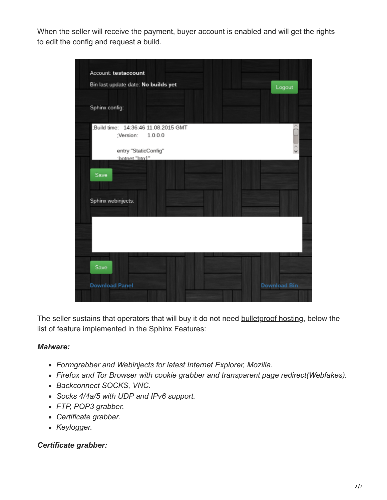When the seller will receive the payment, buyer account is enabled and will get the rights to edit the config and request a build.



The seller sustains that operators that will buy it do not need bullet proof hosting, below the list of feature implemented in the Sphinx Features:

#### *Malware:*

- *Formgrabber and Webinjects for latest Internet Explorer, Mozilla.*
- *Firefox and Tor Browser with cookie grabber and transparent page redirect(Webfakes).*
- *Backconnect SOCKS, VNC.*
- *Socks 4/4a/5 with UDP and IPv6 support.*
- *FTP, POP3 grabber.*
- *Certificate grabber.*
- *Keylogger.*

#### *Certificate grabber:*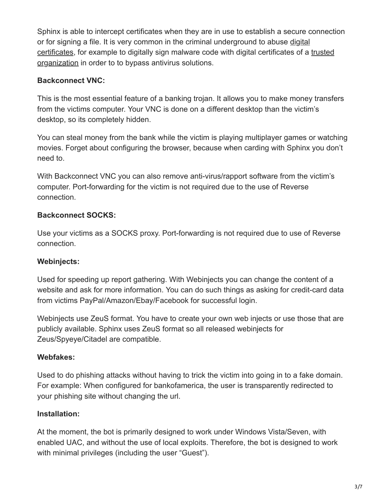Sphinx is able to intercept certificates when they are in use to establish a secure connection [or for signing a file. It is very common in the criminal underground to abuse digital](http://securityaffairs.co/wordpress/27129/cyber-crime/misusing-digital-certificates.html) [certificates, for example to digitally sign malware code with digital certificates of a trusted](http://securityaffairs.co/wordpress/12692/hacking/java-exploit-signed-with-certificate-stolen-to-bit9.html) organization in order to to bypass antivirus solutions.

### **Backconnect VNC:**

This is the most essential feature of a banking trojan. It allows you to make money transfers from the victims computer. Your VNC is done on a different desktop than the victim's desktop, so its completely hidden.

You can steal money from the bank while the victim is playing multiplayer games or watching movies. Forget about configuring the browser, because when carding with Sphinx you don't need to.

With Backconnect VNC you can also remove anti-virus/rapport software from the victim's computer. Port-forwarding for the victim is not required due to the use of Reverse connection.

### **Backconnect SOCKS:**

Use your victims as a SOCKS proxy. Port-forwarding is not required due to use of Reverse connection.

#### **Webinjects:**

Used for speeding up report gathering. With Webinjects you can change the content of a website and ask for more information. You can do such things as asking for credit-card data from victims PayPal/Amazon/Ebay/Facebook for successful login.

Webinjects use ZeuS format. You have to create your own web injects or use those that are publicly available. Sphinx uses ZeuS format so all released webinjects for Zeus/Spyeye/Citadel are compatible.

# **Webfakes:**

Used to do phishing attacks without having to trick the victim into going in to a fake domain. For example: When configured for bankofamerica, the user is transparently redirected to your phishing site without changing the url.

# **Installation:**

At the moment, the bot is primarily designed to work under Windows Vista/Seven, with enabled UAC, and without the use of local exploits. Therefore, the bot is designed to work with minimal privileges (including the user "Guest").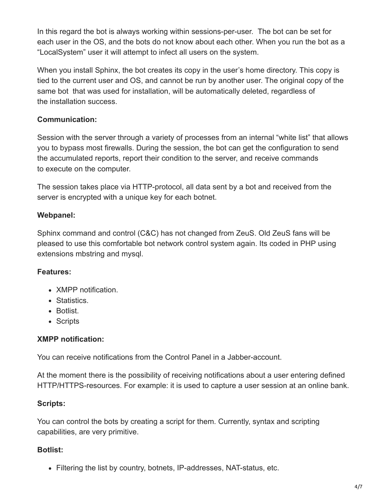In this regard the bot is always working within sessions-per-user. The bot can be set for each user in the OS, and the bots do not know about each other. When you run the bot as a "LocalSystem" user it will attempt to infect all users on the system.

When you install Sphinx, the bot creates its copy in the user's home directory. This copy is tied to the current user and OS, and cannot be run by another user. The original copy of the same bot that was used for installation, will be automatically deleted, regardless of the installation success.

#### **Communication:**

Session with the server through a variety of processes from an internal "white list" that allows you to bypass most firewalls. During the session, the bot can get the configuration to send the accumulated reports, report their condition to the server, and receive commands to execute on the computer.

The session takes place via HTTP-protocol, all data sent by a bot and received from the server is encrypted with a unique key for each botnet.

#### **Webpanel:**

Sphinx command and control (C&C) has not changed from ZeuS. Old ZeuS fans will be pleased to use this comfortable bot network control system again. Its coded in PHP using extensions mbstring and mysql.

#### **Features:**

- XMPP notification.
- Statistics.
- Botlist.
- Scripts

#### **XMPP notification:**

You can receive notifications from the Control Panel in a Jabber-account.

At the moment there is the possibility of receiving notifications about a user entering defined HTTP/HTTPS-resources. For example: it is used to capture a user session at an online bank.

#### **Scripts:**

You can control the bots by creating a script for them. Currently, syntax and scripting capabilities, are very primitive.

#### **Botlist:**

Filtering the list by country, botnets, IP-addresses, NAT-status, etc.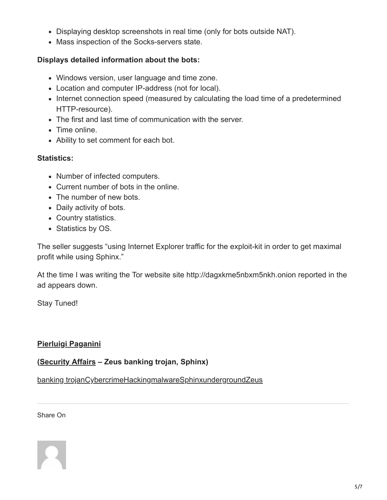- Displaying desktop screenshots in real time (only for bots outside NAT).
- Mass inspection of the Socks-servers state.

### **Displays detailed information about the bots:**

- Windows version, user language and time zone.
- Location and computer IP-address (not for local).
- Internet connection speed (measured by calculating the load time of a predetermined HTTP-resource).
- The first and last time of communication with the server.
- Time online.
- Ability to set comment for each bot.

#### **Statistics:**

- Number of infected computers.
- Current number of bots in the online.
- The number of new bots.
- Daily activity of bots.
- Country statistics.
- Statistics by OS.

The seller suggests "using Internet Explorer traffic for the exploit-kit in order to get maximal profit while using Sphinx."

At the time I was writing the Tor website site http://dagxkme5nbxm5nkh.onion reported in the ad appears down.

Stay Tuned!

#### **[Pierluigi Paganini](http://www.linkedin.com/pub/pierluigi-paganini/b/742/559)**

#### **([Security Affairs](http://securityaffairs.co/wordpress/) – Zeus banking trojan, Sphinx)**

[banking trojan](https://securityaffairs.co/wordpress/tag/banking-trojan)[Cybercrime](https://securityaffairs.co/wordpress/tag/cybercrime)[Hacking](https://securityaffairs.co/wordpress/tag/hacking)[malware](https://securityaffairs.co/wordpress/tag/malware-2)[Sphinx](https://securityaffairs.co/wordpress/tag/sphinx)[underground](https://securityaffairs.co/wordpress/tag/underground)[Zeus](https://securityaffairs.co/wordpress/tag/zeus)

Share On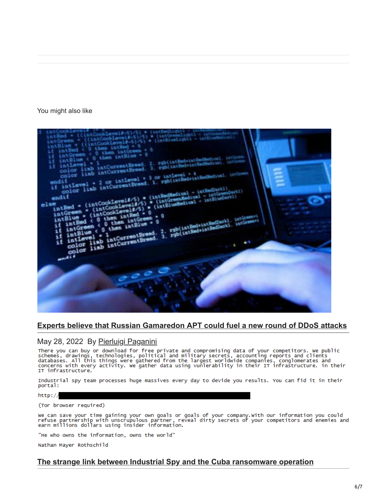#### You might also like



#### **[Experts believe that Russian Gamaredon APT could fuel a new round of DDoS attacks](https://securityaffairs.co/wordpress/131762/apt/gamaredon-apt-ddos-attacks.html)**

May 28, 2022 By <u>[Pierluigi Paganini](https://securityaffairs.co/wordpress/author/paganinip)</u><br>There you can buy or download for free private and compromising data of your competitors. We public<br>schemes, drawings, technologies, political and military secrets, accounting reports a IT infrastructure.

Industrial spy team processes huge massives every day to devide you results. You can fid it in their portal:

#### $http://$

(Tor browser required)

We can save your time gaining your own goals or goals of your company.With our information you could<br>refuse partnership with unscrupulous partner, reveal dirty secrets of your competitors and enemies and<br>earn millions doll

"He who owns the information, owns the world"

Nathan Mayer Rothschild

#### **[The strange link between Industrial Spy and the Cuba ransomware operation](https://securityaffairs.co/wordpress/131754/cyber-crime/industrial-spy-cuba-ransomware.html)**